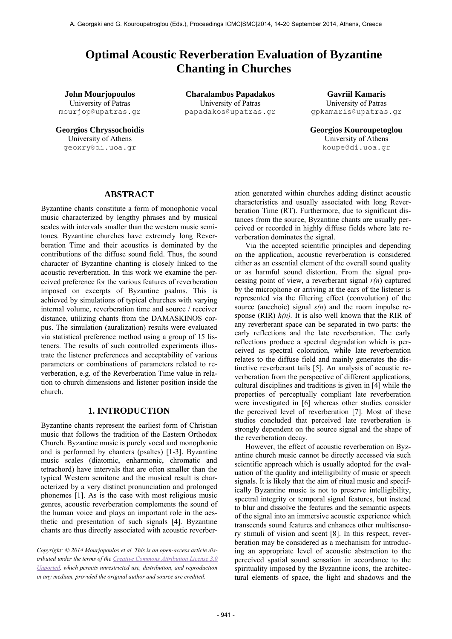# **Optimal Acoustic Reverberation Evaluation of Byzantine Chanting in Churches**

University of Patras mourjop@upatras.gr

University of Athens geoxry@di.uoa.gr

**John Mourjopoulos Charalambos Papadakos Gavriil Kamaris** University of Patras papadakos@upatras.gr

University of Patras gpkamaris@upatras.gr

**Georgios Chryssochoidis Georgios Kouroupetoglou** University of Athens [koupe@di.uoa.gr](mailto:koupe@di.uoa.gr)

# **ABSTRACT**

Byzantine chants constitute a form of monophonic vocal music characterized by lengthy phrases and by musical scales with intervals smaller than the western music semitones. Byzantine churches have extremely long Reverberation Time and their acoustics is dominated by the contributions of the diffuse sound field. Thus, the sound character of Byzantine chanting is closely linked to the acoustic reverberation. In this work we examine the perceived preference for the various features of reverberation imposed on excerpts of Byzantine psalms. This is achieved by simulations of typical churches with varying internal volume, reverberation time and source / receiver distance, utilizing chants from the DAMASKINOS corpus. The simulation (auralization) results were evaluated via statistical preference method using a group of 15 listeners. The results of such controlled experiments illustrate the listener preferences and acceptability of various parameters or combinations of parameters related to reverberation, e.g. of the Reverberation Time value in relation to church dimensions and listener position inside the church.

# **1. INTRODUCTION**

Byzantine chants represent the earliest form of Christian music that follows the tradition of the Eastern Orthodox Church. Byzantine music is purely vocal and monophonic and is performed by chanters (psaltes) [1-3]. Byzantine music scales (diatomic, enharmonic, chromatic and tetrachord) have intervals that are often smaller than the typical Western semitone and the musical result is characterized by a very distinct pronunciation and prolonged phonemes [1]. As is the case with most religious music genres, acoustic reverberation complements the sound of the human voice and plays an important role in the aesthetic and presentation of such signals [4]. Byzantine chants are thus directly associated with acoustic reverber-

*Copyright: © 2014 Mourjopoulos et al. This is an open-access article distributed under the terms of the [Creative Commons Attribution License 3.0](http://creativecommons.org/licenses/by/3.0/)  [Unported,](http://creativecommons.org/licenses/by/3.0/) which permits unrestricted use, distribution, and reproduction in any medium, provided the original author and source are credited.*

ation generated within churches adding distinct acoustic characteristics and usually associated with long Reverberation Time (RT). Furthermore, due to significant distances from the source, Byzantine chants are usually perceived or recorded in highly diffuse fields where late reverberation dominates the signal.

Via the accepted scientific principles and depending on the application, acoustic reverberation is considered either as an essential element of the overall sound quality or as harmful sound distortion. From the signal processing point of view, a reverberant signal *r(n*) captured by the microphone or arriving at the ears of the listener is represented via the filtering effect (convolution) of the source (anechoic) signal *s(n*) and the room impulse response (RIR)  $h(n)$ . It is also well known that the RIR of any reverberant space can be separated in two parts: the early reflections and the late reverberation. The early reflections produce a spectral degradation which is perceived as spectral coloration, while late reverberation relates to the diffuse field and mainly generates the distinctive reverberant tails [5]. An analysis of acoustic reverberation from the perspective of different applications, cultural disciplines and traditions is given in [4] while the properties of perceptually compliant late reverberation were investigated in [6] whereas other studies consider the perceived level of reverberation [7]. Most of these studies concluded that perceived late reverberation is strongly dependent on the source signal and the shape of the reverberation decay.

However, the effect of acoustic reverberation on Byzantine church music cannot be directly accessed via such scientific approach which is usually adopted for the evaluation of the quality and intelligibility of music or speech signals. It is likely that the aim of ritual music and specifically Byzantine music is not to preserve intelligibility, spectral integrity or temporal signal features, but instead to blur and dissolve the features and the semantic aspects of the signal into an immersive acoustic experience which transcends sound features and enhances other multisensory stimuli of vision and scent [8]. In this respect, reverberation may be considered as a mechanism for introducing an appropriate level of acoustic abstraction to the perceived spatial sound sensation in accordance to the spirituality imposed by the Byzantine icons, the architectural elements of space, the light and shadows and the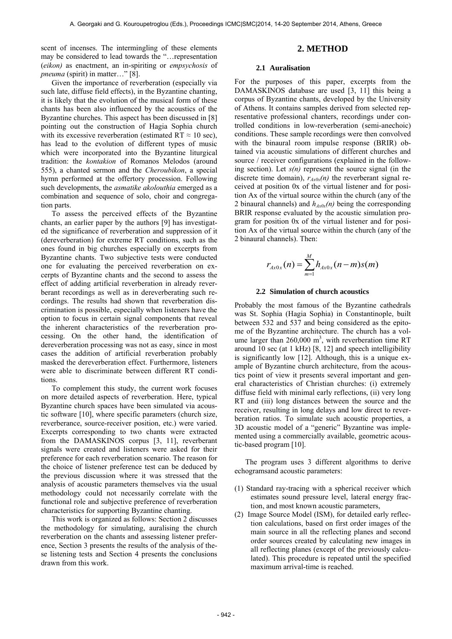scent of incenses. The intermingling of these elements may be considered to lead towards the "…representation (*eikon)* as enactment, an in-spiriting or *empsychosis* of *pneuma* (spirit) in matter…" [8].

Given the importance of reverberation (especially via such late, diffuse field effects), in the Byzantine chanting, it is likely that the evolution of the musical form of these chants has been also influenced by the acoustics of the Byzantine churches. This aspect has been discussed in [8] pointing out the construction of Hagia Sophia church with its excessive reverberation (estimated RT  $\approx$  10 sec), has lead to the evolution of different types of music which were incorporated into the Byzantine liturgical tradition: the *kontakion* of Romanos Melodos (around 555), a chanted sermon and the *Cheroubikon*, a special hymn performed at the offertory procession. Following such developments, the *asmatike akolouthia* emerged as a combination and sequence of solo, choir and congregation parts.

To assess the perceived effects of the Byzantine chants, an earlier paper by the authors [9] has investigated the significance of reverberation and suppression of it (dereverberation) for extreme RT conditions, such as the ones found in big churches especially on excerpts from Byzantine chants. Two subjective tests were conducted one for evaluating the perceived reverberation on excerpts of Byzantine chants and the second to assess the effect of adding artificial reverberation in already reverberant recordings as well as in dereverberating such recordings. The results had shown that reverberation discrimination is possible, especially when listeners have the option to focus in certain signal components that reveal the inherent characteristics of the reverberation processing. On the other hand, the identification of dereverberation processing was not as easy, since in most cases the addition of artificial reverberation probably masked the dereverberation effect. Furthermore, listeners were able to discriminate between different RT conditions.

To complement this study, the current work focuses on more detailed aspects of reverberation. Here, typical Byzantine church spaces have been simulated via acoustic software [10], where specific parameters (church size, reverberance, source-receiver position, etc.) were varied. Excerpts corresponding to two chants were extracted from the DAMASKINOS corpus [3, 11], reverberant signals were created and listeners were asked for their preference for each reverberation scenario. The reason for the choice of listener preference test can be deduced by the previous discussion where it was stressed that the analysis of acoustic parameters themselves via the usual methodology could not necessarily correlate with the functional role and subjective preference of reverberation characteristics for supporting Byzantine chanting.

This work is organized as follows: Section 2 discusses the methodology for simulating, auralising the church reverberation on the chants and assessing listener preference, Section 3 presents the results of the analysis of these listening tests and Section 4 presents the conclusions drawn from this work.

# **2. METHOD**

#### **2.1 Auralisation**

For the purposes of this paper, excerpts from the DAMASKINOS database are used [3, 11] this being a corpus of Byzantine chants, developed by the University of Athens. It contains samples derived from selected representative professional chanters, recordings under controlled conditions in low-reverberation (semi-anechoic) conditions. These sample recordings were then convolved with the binaural room impulse response (BRIR) obtained via acoustic simulations of different churches and source / receiver configurations (explained in the following section). Let *s(n)* represent the source signal (in the discrete time domain), *rAx0x(n)* the reverberant signal received at position 0x of the virtual listener and for position Ax of the virtual source within the church (any of the 2 binaural channels) and *hAx0x(n)* being the corresponding BRIR response evaluated by the acoustic simulation program for position 0x of the virtual listener and for position Ax of the virtual source within the church (any of the 2 binaural channels). Then:

$$
r_{Ax0x}(n) = \sum_{m=1}^{M} h_{Ax0x}(n-m)s(m)
$$

#### **2.2 Simulation of church acoustics**

Probably the most famous of the Byzantine cathedrals was St. Sophia (Hagia Sophia) in Constantinople, built between 532 and 537 and being considered as the epitome of the Byzantine architecture. The church has a volume larger than  $260,000 \text{ m}^3$ , with reverberation time RT around 10 sec (at 1 kHz) [8, 12] and speech intelligibility is significantly low [12]. Although, this is a unique example of Byzantine church architecture, from the acoustics point of view it presents several important and general characteristics of Christian churches: (i) extremely diffuse field with minimal early reflections, (ii) very long RT and (iii) long distances between the source and the receiver, resulting in long delays and low direct to reverberation ratios. To simulate such acoustic properties, a 3D acoustic model of a "generic" Byzantine was implemented using a commercially available, geometric acoustic-based program [10].

The program uses 3 different algorithms to derive echogramsand acoustic parameters:

- (1) Standard ray-tracing with a spherical receiver which estimates sound pressure level, lateral energy fraction, and most known acoustic parameters,
- (2) Image Source Model (ISM), for detailed early reflection calculations, based on first order images of the main source in all the reflecting planes and second order sources created by calculating new images in all reflecting planes (except of the previously calculated). This procedure is repeated until the specified maximum arrival-time is reached.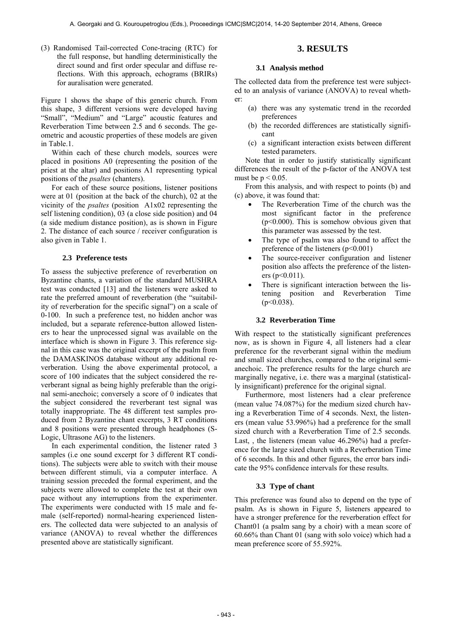(3) Randomised Tail-corrected Cone-tracing (RTC) for the full response, but handling deterministically the direct sound and first order specular and diffuse reflections. With this approach, echograms (BRIRs) for auralisation were generated.

Figure 1 shows the shape of this generic church. From this shape, 3 different versions were developed having "Small", "Medium" and "Large" acoustic features and Reverberation Time between 2.5 and 6 seconds. The geometric and acoustic properties of these models are given in Table.1.

Within each of these church models, sources were placed in positions A0 (representing the position of the priest at the altar) and positions A1 representing typical positions of the *psaltes* (chanters).

For each of these source positions, listener positions were at 01 (position at the back of the church), 02 at the vicinity of the *psaltes* (position A1x02 representing the self listening condition), 03 (a close side position) and 04 (a side medium distance position), as is shown in Figure 2. The distance of each source / receiver configuration is also given in Table 1.

## **2.3 Preference tests**

To assess the subjective preference of reverberation on Byzantine chants, a variation of the standard MUSHRA test was conducted [13] and the listeners were asked to rate the preferred amount of reverberation (the "suitability of reverberation for the specific signal") on a scale of 0-100. In such a preference test, no hidden anchor was included, but a separate reference-button allowed listeners to hear the unprocessed signal was available on the interface which is shown in Figure 3. This reference signal in this case was the original excerpt of the psalm from the DAMASKINOS database without any additional reverberation. Using the above experimental protocol, a score of 100 indicates that the subject considered the reverberant signal as being highly preferable than the original semi-anechoic; conversely a score of 0 indicates that the subject considered the reverberant test signal was totally inappropriate. The 48 different test samples produced from 2 Byzantine chant excerpts, 3 RT conditions and 8 positions were presented through headphones (S-Logic, Ultrasone AG) to the listeners.

In each experimental condition, the listener rated 3 samples (i.e one sound excerpt for 3 different RT conditions). The subjects were able to switch with their mouse between different stimuli, via a computer interface. A training session preceded the formal experiment, and the subjects were allowed to complete the test at their own pace without any interruptions from the experimenter. The experiments were conducted with 15 male and female (self-reported) normal-hearing experienced listeners. The collected data were subjected to an analysis of variance (ANOVA) to reveal whether the differences presented above are statistically significant.

# **3. RESULTS**

#### **3.1 Analysis method**

The collected data from the preference test were subjected to an analysis of variance (ANOVA) to reveal whether:

- (a) there was any systematic trend in the recorded preferences
- (b) the recorded differences are statistically significant
- (c) a significant interaction exists between different tested parameters.

Note that in order to justify statistically significant differences the result of the p-factor of the ANOVA test must be  $p < 0.05$ .

From this analysis, and with respect to points (b) and (c) above, it was found that:

- The Reverberation Time of the church was the most significant factor in the preference  $(p<0.000)$ . This is somehow obvious given that this parameter was assessed by the test.
- The type of psalm was also found to affect the preference of the listeners  $(p<0.001)$
- The source-receiver configuration and listener position also affects the preference of the listeners ( $p<0.011$ ).
- There is significant interaction between the listening position and Reverberation Time  $(p<0.038)$ .

## **3.2 Reverberation Time**

With respect to the statistically significant preferences now, as is shown in Figure 4, all listeners had a clear preference for the reverberant signal within the medium and small sized churches, compared to the original semianechoic. The preference results for the large church are marginally negative, i.e. there was a marginal (statistically insignificant) preference for the original signal.

Furthermore, most listeners had a clear preference (mean value 74.087%) for the medium sized church having a Reverberation Time of 4 seconds. Next, the listeners (mean value 53.996%) had a preference for the small sized church with a Reverberation Time of 2.5 seconds. Last, , the listeners (mean value 46.296%) had a preference for the large sized church with a Reverberation Time of 6 seconds. In this and other figures, the error bars indicate the 95% confidence intervals for these results.

#### **3.3 Type of chant**

This preference was found also to depend on the type of psalm. As is shown in Figure 5, listeners appeared to have a stronger preference for the reverberation effect for Chant01 (a psalm sang by a choir) with a mean score of 60.66% than Chant 01 (sang with solo voice) which had a mean preference score of 55.592%.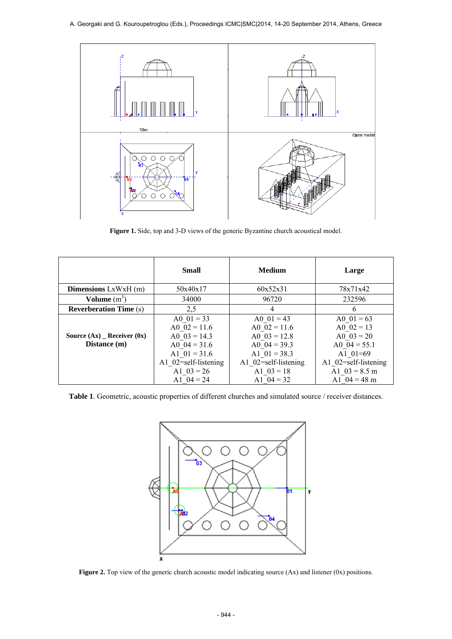## A. Georgaki and G. Kouroupetroglou (Eds.), Proceedings ICMC|SMC|2014, 14-20 September 2014, Athens, Greece



**Figure 1.** Side, top and 3-D views of the generic Byzantine church acoustical model.

|                                               | <b>Small</b>                                                                                                                 | Medium                                                                                                                       | Large                                                                                                                   |
|-----------------------------------------------|------------------------------------------------------------------------------------------------------------------------------|------------------------------------------------------------------------------------------------------------------------------|-------------------------------------------------------------------------------------------------------------------------|
| <b>Dimensions</b> $LxWxH(m)$                  | 50x40x17                                                                                                                     | 60x52x31                                                                                                                     | 78x71x42                                                                                                                |
| Volume $(m^3)$                                | 34000                                                                                                                        | 96720                                                                                                                        | 232596                                                                                                                  |
| <b>Reverberation Time (s)</b>                 | 2,5                                                                                                                          | 4                                                                                                                            | 6                                                                                                                       |
| Source $(Ax)$ Receiver $(0x)$<br>Distance (m) | A0 $01 = 33$<br>A0 $02 = 11.6$<br>A0 $03 = 14.3$<br>A0 $04 = 31.6$<br>A1 $01 = 31.6$<br>A1 02=self-listening<br>A1 $03 = 26$ | A0 $01 = 43$<br>A0 $02 = 11.6$<br>A0 $03 = 12.8$<br>A0 $04 = 39.3$<br>A1 $01 = 38.3$<br>A1 02=self-listening<br>A1 $03 = 18$ | A0 $01 = 63$<br>A0 $02 = 13$<br>A0 $03 = 20$<br>A0 $04 = 55.1$<br>A1 $01=69$<br>A1 02=self-listening<br>A1 $03 = 8.5$ m |
|                                               | A1 $04 = 24$                                                                                                                 | A1 $04 = 32$                                                                                                                 | A1 $04 = 48$ m                                                                                                          |

**Table 1**. Geometric, acoustic properties of different churches and simulated source / receiver distances.



**Figure 2.** Top view of the generic church acoustic model indicating source (Ax) and listener (0x) positions.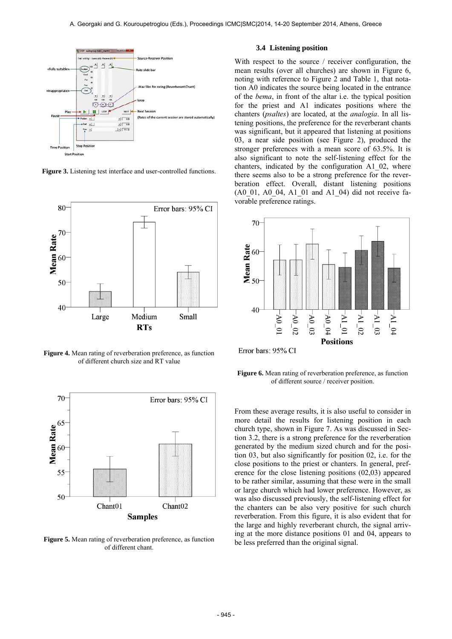

**Figure 3.** Listening test interface and user-controlled functions.



**Figure 4.** Mean rating of reverberation preference, as function of different church size and RT value



**Figure 5.** Mean rating of reverberation preference, as function of different chant.

## **3.4 Listening position**

With respect to the source / receiver configuration, the mean results (over all churches) are shown in Figure 6, noting with reference to Figure 2 and Table 1, that notation A0 indicates the source being located in the entrance of the *bema*, in front of the altar i.e. the typical position for the priest and A1 indicates positions where the chanters (*psaltes*) are located, at the *analogia*. In all listening positions, the preference for the reverberant chants was significant, but it appeared that listening at positions 03, a near side position (see Figure 2), produced the stronger preferences with a mean score of 63.5%. It is also significant to note the self-listening effect for the chanters, indicated by the configuration A1\_02, where there seems also to be a strong preference for the reverberation effect. Overall, distant listening positions (A0\_01, A0\_04, A1\_01 and A1\_04) did not receive favorable preference ratings.



**Figure 6.** Mean rating of reverberation preference, as function of different source / receiver position.

From these average results, it is also useful to consider in more detail the results for listening position in each church type, shown in Figure 7. As was discussed in Section 3.2, there is a strong preference for the reverberation generated by the medium sized church and for the position 03, but also significantly for position 02, i.e. for the close positions to the priest or chanters. In general, preference for the close listening positions (02,03) appeared to be rather similar, assuming that these were in the small or large church which had lower preference. However, as was also discussed previously, the self-listening effect for the chanters can be also very positive for such church reverberation. From this figure, it is also evident that for the large and highly reverberant church, the signal arriving at the more distance positions 01 and 04, appears to be less preferred than the original signal.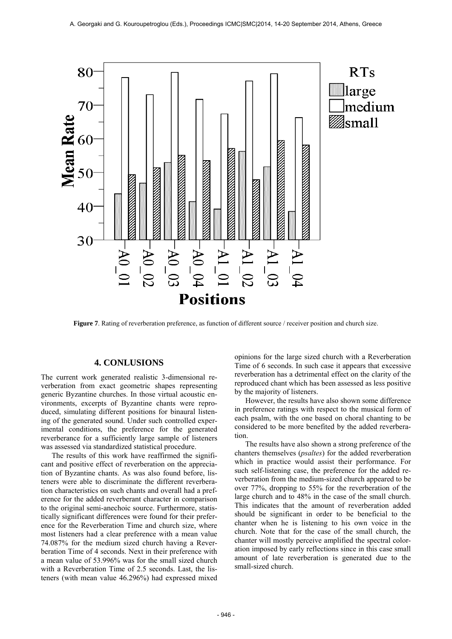

**Figure 7**. Rating of reverberation preference, as function of different source / receiver position and church size.

# **4. CONLUSIONS**

The current work generated realistic 3-dimensional reverberation from exact geometric shapes representing generic Byzantine churches. In those virtual acoustic environments, excerpts of Byzantine chants were reproduced, simulating different positions for binaural listening of the generated sound. Under such controlled experimental conditions, the preference for the generated reverberance for a sufficiently large sample of listeners was assessed via standardized statistical procedure.

The results of this work have reaffirmed the significant and positive effect of reverberation on the appreciation of Byzantine chants. As was also found before, listeners were able to discriminate the different reverberation characteristics on such chants and overall had a preference for the added reverberant character in comparison to the original semi-anechoic source. Furthermore, statistically significant differences were found for their preference for the Reverberation Time and church size, where most listeners had a clear preference with a mean value 74.087% for the medium sized church having a Reverberation Time of 4 seconds. Next in their preference with a mean value of 53.996% was for the small sized church with a Reverberation Time of 2.5 seconds. Last, the listeners (with mean value 46.296%) had expressed mixed

opinions for the large sized church with a Reverberation Time of 6 seconds. In such case it appears that excessive reverberation has a detrimental effect on the clarity of the reproduced chant which has been assessed as less positive by the majority of listeners.

However, the results have also shown some difference in preference ratings with respect to the musical form of each psalm, with the one based on choral chanting to be considered to be more benefited by the added reverberation.

The results have also shown a strong preference of the chanters themselves (*psaltes*) for the added reverberation which in practice would assist their performance. For such self-listening case, the preference for the added reverberation from the medium-sized church appeared to be over 77%, dropping to 55% for the reverberation of the large church and to 48% in the case of the small church. This indicates that the amount of reverberation added should be significant in order to be beneficial to the chanter when he is listening to his own voice in the church. Note that for the case of the small church, the chanter will mostly perceive amplified the spectral coloration imposed by early reflections since in this case small amount of late reverberation is generated due to the small-sized church.